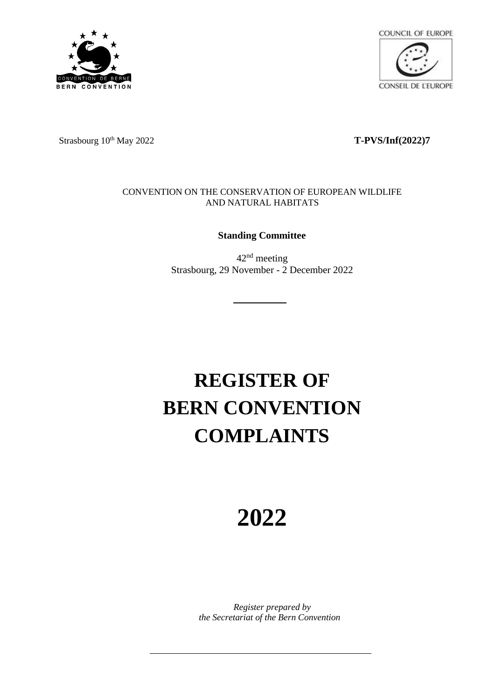



Strasbourg 10<sup>th</sup> May 2022 **T-PVS/Inf(2022)7** 

## CONVENTION ON THE CONSERVATION OF EUROPEAN WILDLIFE AND NATURAL HABITATS

## **Standing Committee**

42nd meeting Strasbourg, 29 November - 2 December 2022

## **REGISTER OF BERN CONVENTION COMPLAINTS**

## **2022**

*Register prepared by the Secretariat of the Bern Convention*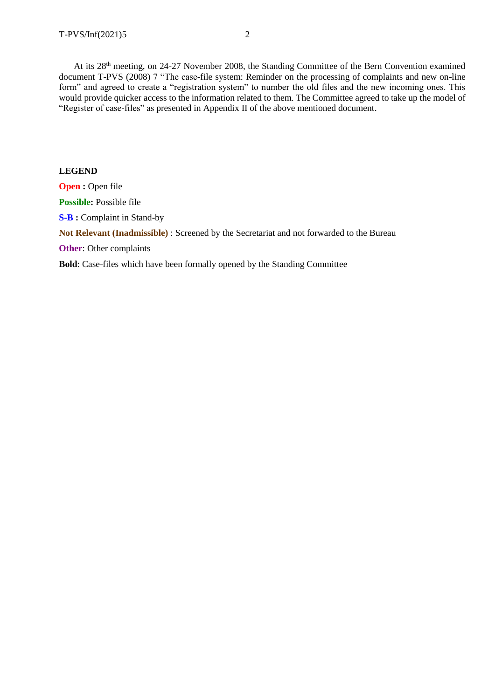At its 28th meeting, on 24-27 November 2008, the Standing Committee of the Bern Convention examined document T-PVS (2008) 7 "The case-file system: Reminder on the processing of complaints and new on-line form" and agreed to create a "registration system" to number the old files and the new incoming ones. This would provide quicker access to the information related to them. The Committee agreed to take up the model of "Register of case-files" as presented in Appendix II of the above mentioned document.

**LEGEND Open :** Open file Possible: Possible file **S-B :** Complaint in Stand-by **Not Relevant (Inadmissible)** : Screened by the Secretariat and not forwarded to the Bureau **Other**: Other complaints **Bold**: Case-files which have been formally opened by the Standing Committee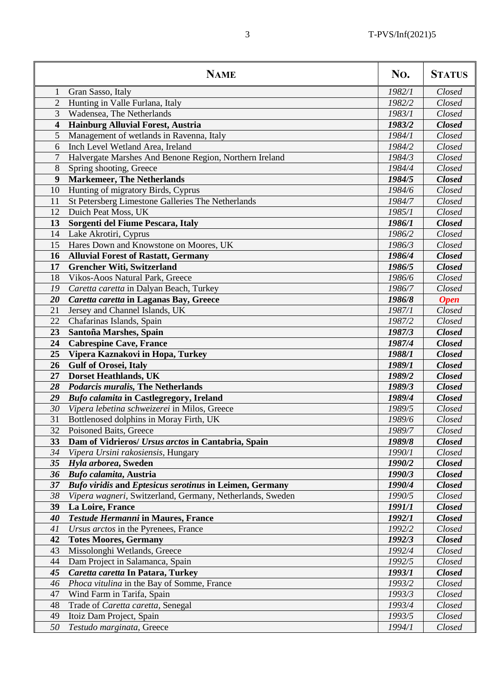|                         | <b>NAME</b>                                                    | No.    | <b>STATUS</b> |
|-------------------------|----------------------------------------------------------------|--------|---------------|
| 1                       | Gran Sasso, Italy                                              | 1982/1 | Closed        |
| $\overline{2}$          | Hunting in Valle Furlana, Italy                                | 1982/2 | Closed        |
| $\overline{3}$          | Wadensea, The Netherlands                                      | 1983/1 | Closed        |
| $\overline{\mathbf{4}}$ | Hainburg Alluvial Forest, Austria                              | 1983/2 | <b>Closed</b> |
| $\mathfrak{S}$          | Management of wetlands in Ravenna, Italy                       | 1984/1 | Closed        |
| 6                       | Inch Level Wetland Area, Ireland                               | 1984/2 | Closed        |
| $\overline{7}$          | Halvergate Marshes And Benone Region, Northern Ireland         | 1984/3 | Closed        |
| 8                       | Spring shooting, Greece                                        | 1984/4 | Closed        |
| $\boldsymbol{9}$        | <b>Markemeer, The Netherlands</b>                              | 1984/5 | <b>Closed</b> |
| 10                      | Hunting of migratory Birds, Cyprus                             | 1984/6 | Closed        |
| 11                      | St Petersberg Limestone Galleries The Netherlands              | 1984/7 | Closed        |
| 12                      | Duich Peat Moss, UK                                            | 1985/1 | Closed        |
| 13                      | Sorgenti del Fiume Pescara, Italy                              | 1986/1 | <b>Closed</b> |
| 14                      | Lake Akrotiri, Cyprus                                          | 1986/2 | Closed        |
| 15                      | Hares Down and Knowstone on Moores, UK                         | 1986/3 | Closed        |
| 16                      | <b>Alluvial Forest of Rastatt, Germany</b>                     | 1986/4 | <b>Closed</b> |
| 17                      | <b>Grencher Witi, Switzerland</b>                              | 1986/5 | <b>Closed</b> |
| 18                      | Vikos-Aoos Natural Park, Greece                                | 1986/6 | Closed        |
| 19                      | Caretta caretta in Dalyan Beach, Turkey                        | 1986/7 | Closed        |
| 20                      | Caretta caretta in Laganas Bay, Greece                         | 1986/8 | <b>Open</b>   |
| 21                      | Jersey and Channel Islands, UK                                 | 1987/1 | Closed        |
| 22                      | Chafarinas Islands, Spain                                      | 1987/2 | Closed        |
| 23                      | Santoña Marshes, Spain                                         | 1987/3 | <b>Closed</b> |
| 24                      | <b>Cabrespine Cave, France</b>                                 | 1987/4 | <b>Closed</b> |
| 25                      | Vipera Kaznakovi in Hopa, Turkey                               | 1988/1 | <b>Closed</b> |
| 26                      | <b>Gulf of Orosei, Italy</b>                                   | 1989/1 | <b>Closed</b> |
| 27                      | <b>Dorset Heathlands, UK</b>                                   | 1989/2 | <b>Closed</b> |
| 28                      | <b>Podarcis muralis, The Netherlands</b>                       | 1989/3 | <b>Closed</b> |
| 29                      | <b>Bufo calamita in Castlegregory, Ireland</b>                 | 1989/4 | <b>Closed</b> |
| 30                      | Vipera lebetina schweizerei in Milos, Greece                   | 1989/5 | Closed        |
| 31                      | Bottlenosed dolphins in Moray Firth, UK                        | 1989/6 | Closed        |
| 32                      | Poisoned Baits, Greece                                         | 1989/7 | Closed        |
| 33                      | Dam of Vidrieros/ Ursus arctos in Cantabria, Spain             | 1989/8 | <b>Closed</b> |
| 34                      | Vipera Ursini rakosiensis, Hungary                             | 1990/1 | Closed        |
| 35 <sup>5</sup>         | Hyla arborea, Sweden                                           | 1990/2 | <b>Closed</b> |
| 36                      | Bufo calamita, Austria                                         | 1990/3 | <b>Closed</b> |
| 37                      | <b>Bufo viridis and Eptesicus serotinus in Leimen, Germany</b> | 1990/4 | <b>Closed</b> |
| 38                      | Vipera wagneri, Switzerland, Germany, Netherlands, Sweden      | 1990/5 | Closed        |
| 39                      | La Loire, France                                               | 1991/1 | <b>Closed</b> |
| 40                      | Testude Hermanni in Maures, France                             | 1992/1 | <b>Closed</b> |
| 41                      | Ursus arctos in the Pyrenees, France                           | 1992/2 | Closed        |
| 42                      | <b>Totes Moores, Germany</b>                                   | 1992/3 | <b>Closed</b> |
| 43                      | Missolonghi Wetlands, Greece                                   | 1992/4 | Closed        |
| 44                      | Dam Project in Salamanca, Spain                                | 1992/5 | Closed        |
| 45                      | Caretta caretta In Patara, Turkey                              | 1993/1 | <b>Closed</b> |
| 46                      | Phoca vitulina in the Bay of Somme, France                     | 1993/2 | Closed        |
| 47                      | Wind Farm in Tarifa, Spain                                     | 1993/3 | Closed        |
| 48                      | Trade of Caretta caretta, Senegal                              | 1993/4 | Closed        |
| 49                      | Itoiz Dam Project, Spain                                       | 1993/5 | Closed        |
| 50                      | Testudo marginata, Greece                                      | 1994/1 | Closed        |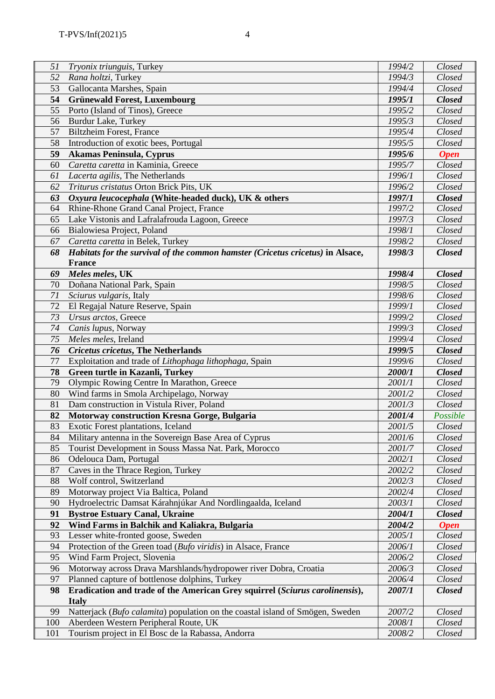| 51  | <i>Tryonix triunguis</i> , Turkey                                              | 1994/2 | Closed        |
|-----|--------------------------------------------------------------------------------|--------|---------------|
| 52  | Rana holtzi, Turkey                                                            | 1994/3 | Closed        |
| 53  | Gallocanta Marshes, Spain                                                      | 1994/4 | Closed        |
| 54  | <b>Grünewald Forest, Luxembourg</b>                                            | 1995/1 | <b>Closed</b> |
| 55  | Porto (Island of Tinos), Greece                                                | 1995/2 | Closed        |
| 56  | <b>Burdur Lake, Turkey</b>                                                     | 1995/3 | Closed        |
| 57  | <b>Biltzheim Forest, France</b>                                                | 1995/4 | Closed        |
| 58  | Introduction of exotic bees, Portugal                                          | 1995/5 | Closed        |
| 59  | Akamas Peninsula, Cyprus                                                       | 1995/6 | <b>Open</b>   |
| 60  | Caretta caretta in Kaminia, Greece                                             | 1995/7 | Closed        |
| 61  | Lacerta agilis, The Netherlands                                                | 1996/1 | Closed        |
| 62  | Triturus cristatus Orton Brick Pits, UK                                        | 1996/2 | Closed        |
| 63  | Oxyura leucocephala (White-headed duck), UK & others                           | 1997/1 | <b>Closed</b> |
| 64  | Rhine-Rhone Grand Canal Project, France                                        | 1997/2 | Closed        |
| 65  | Lake Vistonis and Lafralafrouda Lagoon, Greece                                 | 1997/3 | Closed        |
| 66  | Bialowiesa Project, Poland                                                     | 1998/1 | Closed        |
| 67  | Caretta caretta in Belek, Turkey                                               | 1998/2 | Closed        |
| 68  | Habitats for the survival of the common hamster (Cricetus cricetus) in Alsace, | 1998/3 | <b>Closed</b> |
|     | <b>France</b>                                                                  |        |               |
| 69  | Meles meles, UK                                                                | 1998/4 | <b>Closed</b> |
| 70  | Doñana National Park, Spain                                                    | 1998/5 | Closed        |
| 71  | Sciurus vulgaris, Italy                                                        | 1998/6 | Closed        |
| 72  | El Regajal Nature Reserve, Spain                                               | 1999/1 | Closed        |
| 73  | Ursus arctos, Greece                                                           | 1999/2 | Closed        |
| 74  | Canis lupus, Norway                                                            | 1999/3 | Closed        |
| 75  | Meles meles, Ireland                                                           | 1999/4 | Closed        |
| 76  | <b>Cricetus cricetus, The Netherlands</b>                                      | 1999/5 | <b>Closed</b> |
| 77  | Exploitation and trade of Lithophaga lithophaga, Spain                         | 1999/6 | Closed        |
| 78  | Green turtle in Kazanli, Turkey                                                | 2000/1 | <b>Closed</b> |
| 79  | Olympic Rowing Centre In Marathon, Greece                                      | 2001/1 | Closed        |
| 80  | Wind farms in Smola Archipelago, Norway                                        | 2001/2 | Closed        |
| 81  | Dam construction in Vistula River, Poland                                      | 2001/3 | Closed        |
| 82  | Motorway construction Kresna Gorge, Bulgaria                                   | 2001/4 | Possible      |
| 83  | Exotic Forest plantations, Iceland                                             | 2001/5 | Closed        |
| 84  | Military antenna in the Sovereign Base Area of Cyprus                          | 2001/6 | Closed        |
| 85  | Tourist Development in Souss Massa Nat. Park, Morocco                          | 2001/7 | Closed        |
| 86  | Odelouca Dam, Portugal                                                         | 2002/1 | Closed        |
| 87  | Caves in the Thrace Region, Turkey                                             | 2002/2 | Closed        |
| 88  | Wolf control, Switzerland                                                      | 2002/3 | Closed        |
| 89  | Motorway project Via Baltica, Poland                                           | 2002/4 | Closed        |
| 90  | Hydroelectric Damsat Kárahnjúkar And Nordlingaalda, Iceland                    | 2003/1 | Closed        |
| 91  | <b>Bystroe Estuary Canal, Ukraine</b>                                          | 2004/1 | <b>Closed</b> |
| 92  | Wind Farms in Balchik and Kaliakra, Bulgaria                                   | 2004/2 | <b>Open</b>   |
| 93  | Lesser white-fronted goose, Sweden                                             | 2005/1 | Closed        |
| 94  | Protection of the Green toad (Bufo viridis) in Alsace, France                  | 2006/1 | Closed        |
| 95  | Wind Farm Project, Slovenia                                                    | 2006/2 | Closed        |
| 96  | Motorway across Drava Marshlands/hydropower river Dobra, Croatia               | 2006/3 | Closed        |
| 97  | Planned capture of bottlenose dolphins, Turkey                                 | 2006/4 | Closed        |
| 98  | Eradication and trade of the American Grey squirrel (Sciurus carolinensis),    | 2007/1 | <b>Closed</b> |
|     | <b>Italy</b>                                                                   |        |               |
| 99  | Natterjack (Bufo calamita) population on the coastal island of Smögen, Sweden  | 2007/2 | Closed        |
| 100 | Aberdeen Western Peripheral Route, UK                                          | 2008/1 | Closed        |
| 101 | Tourism project in El Bosc de la Rabassa, Andorra                              | 2008/2 | Closed        |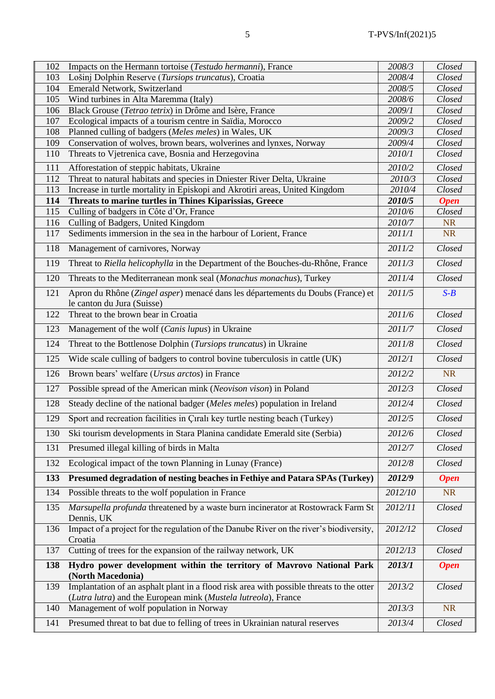| 102 | Impacts on the Hermann tortoise (Testudo hermanni), France                                                                                                 | 2008/3  | Closed      |
|-----|------------------------------------------------------------------------------------------------------------------------------------------------------------|---------|-------------|
| 103 | Lošinį Dolphin Reserve (Tursiops truncatus), Croatia                                                                                                       | 2008/4  | Closed      |
| 104 | Emerald Network, Switzerland                                                                                                                               | 2008/5  | Closed      |
| 105 | Wind turbines in Alta Maremma (Italy)                                                                                                                      | 2008/6  | Closed      |
| 106 | Black Grouse (Tetrao tetrix) in Drôme and Isère, France                                                                                                    | 2009/1  | Closed      |
| 107 | Ecological impacts of a tourism centre in Saïdia, Morocco                                                                                                  | 2009/2  | Closed      |
| 108 | Planned culling of badgers (Meles meles) in Wales, UK                                                                                                      | 2009/3  | Closed      |
| 109 | Conservation of wolves, brown bears, wolverines and lynxes, Norway                                                                                         | 2009/4  | Closed      |
| 110 | Threats to Vjetrenica cave, Bosnia and Herzegovina                                                                                                         | 2010/1  | Closed      |
| 111 | Afforestation of steppic habitats, Ukraine                                                                                                                 | 2010/2  | Closed      |
| 112 | Threat to natural habitats and species in Dniester River Delta, Ukraine                                                                                    | 2010/3  | Closed      |
| 113 | Increase in turtle mortality in Episkopi and Akrotiri areas, United Kingdom                                                                                | 2010/4  | Closed      |
| 114 | Threats to marine turtles in Thines Kiparissias, Greece                                                                                                    | 2010/5  | <b>Open</b> |
| 115 | Culling of badgers in Côte d'Or, France                                                                                                                    | 2010/6  | Closed      |
| 116 | Culling of Badgers, United Kingdom                                                                                                                         | 2010/7  | <b>NR</b>   |
| 117 | Sediments immersion in the sea in the harbour of Lorient, France                                                                                           | 2011/1  | <b>NR</b>   |
| 118 | Management of carnivores, Norway                                                                                                                           | 2011/2  | Closed      |
| 119 | Threat to Riella helicophylla in the Department of the Bouches-du-Rhône, France                                                                            | 2011/3  | Closed      |
| 120 | Threats to the Mediterranean monk seal (Monachus monachus), Turkey                                                                                         | 2011/4  | Closed      |
| 121 | Apron du Rhône (Zingel asper) menacé dans les départements du Doubs (France) et<br>le canton du Jura (Suisse)                                              | 2011/5  | $S-B$       |
| 122 | Threat to the brown bear in Croatia                                                                                                                        | 2011/6  | Closed      |
| 123 | Management of the wolf (Canis lupus) in Ukraine                                                                                                            | 2011/7  | Closed      |
| 124 | Threat to the Bottlenose Dolphin (Tursiops truncatus) in Ukraine                                                                                           | 2011/8  | Closed      |
| 125 | Wide scale culling of badgers to control bovine tuberculosis in cattle (UK)                                                                                | 2012/1  | Closed      |
| 126 | Brown bears' welfare (Ursus arctos) in France                                                                                                              | 2012/2  | <b>NR</b>   |
| 127 | Possible spread of the American mink (Neovison vison) in Poland                                                                                            | 2012/3  | Closed      |
| 128 | Steady decline of the national badger (Meles meles) population in Ireland                                                                                  | 2012/4  | Closed      |
| 129 | Sport and recreation facilities in Çıralı key turtle nesting beach (Turkey)                                                                                | 2012/5  | Closed      |
| 130 | Ski tourism developments in Stara Planina candidate Emerald site (Serbia)                                                                                  | 2012/6  | Closed      |
| 131 | Presumed illegal killing of birds in Malta                                                                                                                 | 2012/7  | Closed      |
| 132 | Ecological impact of the town Planning in Lunay (France)                                                                                                   | 2012/8  | Closed      |
| 133 | Presumed degradation of nesting beaches in Fethiye and Patara SPAs (Turkey)                                                                                | 2012/9  | <b>Open</b> |
| 134 | Possible threats to the wolf population in France                                                                                                          | 2012/10 | <b>NR</b>   |
| 135 | Marsupella profunda threatened by a waste burn incinerator at Rostowrack Farm St<br>Dennis, UK                                                             | 2012/11 | Closed      |
| 136 | Impact of a project for the regulation of the Danube River on the river's biodiversity,<br>Croatia                                                         | 2012/12 | Closed      |
| 137 | Cutting of trees for the expansion of the railway network, UK                                                                                              | 2012/13 | Closed      |
| 138 | Hydro power development within the territory of Mavrovo National Park<br>(North Macedonia)                                                                 | 2013/1  | <b>Open</b> |
| 139 | Implantation of an asphalt plant in a flood risk area with possible threats to the otter<br>(Lutra lutra) and the European mink (Mustela lutreola), France | 2013/2  | Closed      |
| 140 | Management of wolf population in Norway                                                                                                                    | 2013/3  | <b>NR</b>   |
| 141 | Presumed threat to bat due to felling of trees in Ukrainian natural reserves                                                                               | 2013/4  | Closed      |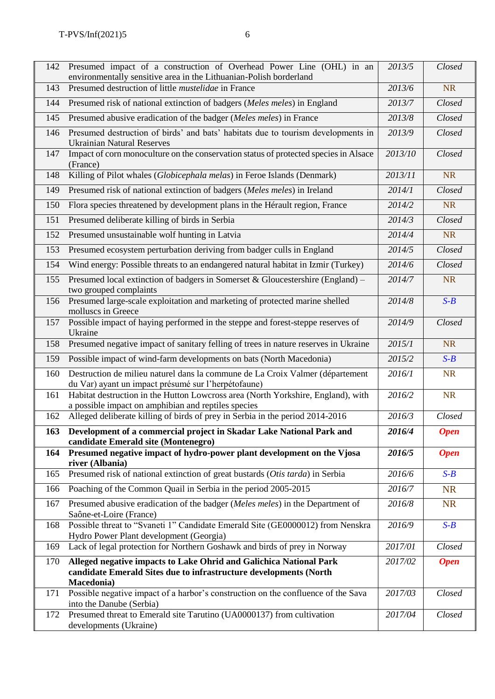| 142 | Presumed impact of a construction of Overhead Power Line (OHL) in an<br>environmentally sensitive area in the Lithuanian-Polish borderland            | 2013/5  | Closed      |
|-----|-------------------------------------------------------------------------------------------------------------------------------------------------------|---------|-------------|
| 143 | Presumed destruction of little <i>mustelidae</i> in France                                                                                            | 2013/6  | <b>NR</b>   |
| 144 | Presumed risk of national extinction of badgers (Meles meles) in England                                                                              | 2013/7  | Closed      |
| 145 | Presumed abusive eradication of the badger (Meles meles) in France                                                                                    | 2013/8  | Closed      |
| 146 | Presumed destruction of birds' and bats' habitats due to tourism developments in<br><b>Ukrainian Natural Reserves</b>                                 | 2013/9  | Closed      |
| 147 | Impact of corn monoculture on the conservation status of protected species in Alsace<br>(France)                                                      | 2013/10 | Closed      |
| 148 | Killing of Pilot whales (Globicephala melas) in Feroe Islands (Denmark)                                                                               | 2013/11 | <b>NR</b>   |
| 149 | Presumed risk of national extinction of badgers (Meles meles) in Ireland                                                                              | 2014/1  | Closed      |
| 150 | Flora species threatened by development plans in the Hérault region, France                                                                           | 2014/2  | <b>NR</b>   |
| 151 | Presumed deliberate killing of birds in Serbia                                                                                                        | 2014/3  | Closed      |
| 152 | Presumed unsustainable wolf hunting in Latvia                                                                                                         | 2014/4  | <b>NR</b>   |
| 153 | Presumed ecosystem perturbation deriving from badger culls in England                                                                                 | 2014/5  | Closed      |
| 154 | Wind energy: Possible threats to an endangered natural habitat in Izmir (Turkey)                                                                      | 2014/6  | Closed      |
| 155 | Presumed local extinction of badgers in Somerset & Gloucestershire (England) –<br>two grouped complaints                                              | 2014/7  | <b>NR</b>   |
| 156 | Presumed large-scale exploitation and marketing of protected marine shelled<br>molluscs in Greece                                                     | 2014/8  | $S-B$       |
| 157 | Possible impact of haying performed in the steppe and forest-steppe reserves of<br>Ukraine                                                            | 2014/9  | Closed      |
| 158 | Presumed negative impact of sanitary felling of trees in nature reserves in Ukraine                                                                   | 2015/1  | <b>NR</b>   |
| 159 | Possible impact of wind-farm developments on bats (North Macedonia)                                                                                   | 2015/2  | $S-B$       |
| 160 | Destruction de milieu naturel dans la commune de La Croix Valmer (département<br>du Var) ayant un impact présumé sur l'herpétofaune)                  | 2016/1  | <b>NR</b>   |
| 161 | Habitat destruction in the Hutton Lowcross area (North Yorkshire, England), with<br>a possible impact on amphibian and reptiles species               | 2016/2  | <b>NR</b>   |
| 162 | Alleged deliberate killing of birds of prey in Serbia in the period 2014-2016                                                                         | 2016/3  | Closed      |
|     | 163 Development of a commercial project in Skadar Lake National Park and                                                                              | 2016/4  | <b>Open</b> |
| 164 | candidate Emerald site (Montenegro)<br>Presumed negative impact of hydro-power plant development on the Vjosa<br>river (Albania)                      | 2016/5  | <b>Open</b> |
| 165 | Presumed risk of national extinction of great bustards (Otis tarda) in Serbia                                                                         | 2016/6  | $S-B$       |
| 166 | Poaching of the Common Quail in Serbia in the period 2005-2015                                                                                        | 2016/7  | <b>NR</b>   |
| 167 | Presumed abusive eradication of the badger (Meles meles) in the Department of<br>Saône-et-Loire (France)                                              | 2016/8  | <b>NR</b>   |
| 168 | Possible threat to "Svaneti 1" Candidate Emerald Site (GE0000012) from Nenskra<br>Hydro Power Plant development (Georgia)                             | 2016/9  | $S-B$       |
| 169 | Lack of legal protection for Northern Goshawk and birds of prey in Norway                                                                             | 2017/01 | Closed      |
| 170 | Alleged negative impacts to Lake Ohrid and Galichica National Park<br>candidate Emerald Sites due to infrastructure developments (North<br>Macedonia) | 2017/02 | <b>Open</b> |
| 171 | Possible negative impact of a harbor's construction on the confluence of the Sava<br>into the Danube (Serbia)                                         | 2017/03 | Closed      |
| 172 | Presumed threat to Emerald site Tarutino (UA0000137) from cultivation<br>developments (Ukraine)                                                       | 2017/04 | Closed      |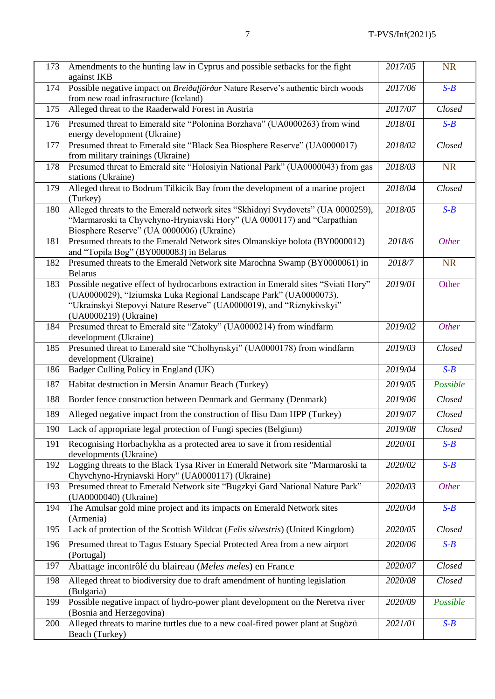| 173 | Amendments to the hunting law in Cyprus and possible setbacks for the fight<br>against IKB                                                                                                                                                               | 2017/05 | <b>NR</b>    |
|-----|----------------------------------------------------------------------------------------------------------------------------------------------------------------------------------------------------------------------------------------------------------|---------|--------------|
| 174 | Possible negative impact on Breidafjördur Nature Reserve's authentic birch woods<br>from new road infrastructure (Iceland)                                                                                                                               | 2017/06 | $S-B$        |
| 175 | Alleged threat to the Raaderwald Forest in Austria                                                                                                                                                                                                       | 2017/07 | Closed       |
| 176 | Presumed threat to Emerald site "Polonina Borzhava" (UA0000263) from wind<br>energy development (Ukraine)                                                                                                                                                | 2018/01 | $S-B$        |
| 177 | Presumed threat to Emerald site "Black Sea Biosphere Reserve" (UA0000017)<br>from military trainings (Ukraine)                                                                                                                                           | 2018/02 | Closed       |
| 178 | Presumed threat to Emerald site "Holosiyin National Park" (UA0000043) from gas<br>stations (Ukraine)                                                                                                                                                     | 2018/03 | <b>NR</b>    |
| 179 | Alleged threat to Bodrum Tilkicik Bay from the development of a marine project<br>(Turkey)                                                                                                                                                               | 2018/04 | Closed       |
| 180 | Alleged threats to the Emerald network sites "Skhidnyi Svydovets" (UA 0000259),<br>"Marmaroski ta Chyvchyno-Hryniavski Hory" (UA 0000117) and "Carpathian<br>Biosphere Reserve" (UA 0000006) (Ukraine)                                                   | 2018/05 | $S-B$        |
| 181 | Presumed threats to the Emerald Network sites Olmanskiye bolota (BY0000012)<br>and "Topila Bog" (BY0000083) in Belarus                                                                                                                                   | 2018/6  | <b>Other</b> |
| 182 | Presumed threats to the Emerald Network site Marochna Swamp (BY0000061) in<br><b>Belarus</b>                                                                                                                                                             | 2018/7  | <b>NR</b>    |
| 183 | Possible negative effect of hydrocarbons extraction in Emerald sites "Sviati Hory"<br>(UA0000029), "Iziumska Luka Regional Landscape Park" (UA0000073),<br>"Ukrainskyi Stepovyi Nature Reserve" (UA0000019), and "Riznykivskyi"<br>(UA0000219) (Ukraine) | 2019/01 | Other        |
| 184 | Presumed threat to Emerald site "Zatoky" (UA0000214) from windfarm<br>development (Ukraine)                                                                                                                                                              | 2019/02 | <b>Other</b> |
| 185 | Presumed threat to Emerald site "Cholhynskyi" (UA0000178) from windfarm<br>development (Ukraine)                                                                                                                                                         | 2019/03 | Closed       |
| 186 | Badger Culling Policy in England (UK)                                                                                                                                                                                                                    | 2019/04 | $S-B$        |
| 187 | Habitat destruction in Mersin Anamur Beach (Turkey)                                                                                                                                                                                                      | 2019/05 | Possible     |
| 188 | Border fence construction between Denmark and Germany (Denmark)                                                                                                                                                                                          | 2019/06 | Closed       |
| 189 | Alleged negative impact from the construction of Ilisu Dam HPP (Turkey)                                                                                                                                                                                  | 2019/07 | Closed       |
| 190 | Lack of appropriate legal protection of Fungi species (Belgium)                                                                                                                                                                                          | 2019/08 | Closed       |
| 191 | Recognising Horbachykha as a protected area to save it from residential<br>developments (Ukraine)                                                                                                                                                        | 2020/01 | $S-B$        |
| 192 | Logging threats to the Black Tysa River in Emerald Network site "Marmaroski ta<br>Chyvchyno-Hryniavski Hory" (UA0000117) (Ukraine)                                                                                                                       | 2020/02 | $S-B$        |
| 193 | Presumed threat to Emerald Network site "Bugzkyi Gard National Nature Park"<br>(UA0000040) (Ukraine)                                                                                                                                                     | 2020/03 | <b>Other</b> |
| 194 | The Amulsar gold mine project and its impacts on Emerald Network sites<br>(Armenia)                                                                                                                                                                      | 2020/04 | $S-B$        |
| 195 | Lack of protection of the Scottish Wildcat (Felis silvestris) (United Kingdom)                                                                                                                                                                           | 2020/05 | Closed       |
| 196 | Presumed threat to Tagus Estuary Special Protected Area from a new airport<br>(Portugal)                                                                                                                                                                 | 2020/06 | $S-B$        |
| 197 | Abattage incontrôlé du blaireau (Meles meles) en France                                                                                                                                                                                                  | 2020/07 | Closed       |
| 198 | Alleged threat to biodiversity due to draft amendment of hunting legislation<br>(Bulgaria)                                                                                                                                                               | 2020/08 | Closed       |
| 199 | Possible negative impact of hydro-power plant development on the Neretva river<br>(Bosnia and Herzegovina)                                                                                                                                               | 2020/09 | Possible     |
| 200 | Alleged threats to marine turtles due to a new coal-fired power plant at Sugözü<br>Beach (Turkey)                                                                                                                                                        | 2021/01 | $S - B$      |